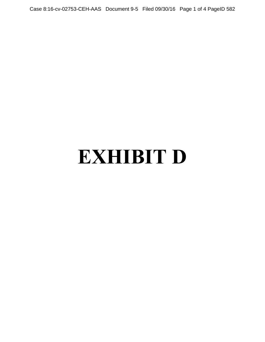Case 8:16-cv-02753-CEH-AAS Document 9-5 Filed 09/30/16 Page 1 of 4 PageID 582

## **EXHIBIT D**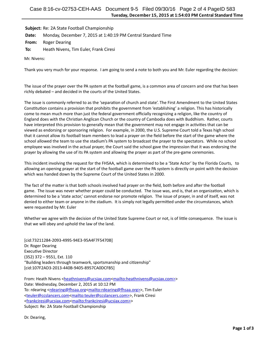Subject: Re: 2A State Football Championship

**Date:** Monday, December 7, 2015 at 1:40:19 PM Central Standard Time

**From:** Roger Dearing

**To:** Heath Nivens, Tim Euler, Frank Ciresi

Mr. Nivens:

Thank you very much for your response. I am going to send a note to both you and Mr. Euler regarding the decision:

The issue of the prayer over the PA system at the football game, is a common area of concern and one that has been richly debated – and decided in the courts of the United States.

The issue is commonly referred to as the 'separation of church and state'. The First Amendment to the United States Constitution contains a provision that prohibits the government from 'establishing' a religion. This has historically come to mean much more than just the federal government officially recognizing a religion, like the country of England does with the Christian Anglican Church or the country of Cambodia does with Buddhism. Rather, courts have interpreted this provision to generally mean that the government may not engage in activities that can be viewed as endorsing or sponsoring religion. For example, in 2000, the U.S. Supreme Court told a Texas high school that it cannot allow its football team members to lead a prayer on the field before the start of the game where the school allowed the team to use the stadium's PA system to broadcast the prayer to the spectators. While no school employee was involved in the actual prayer, the Court said the school gave the impression that it was endorsing the prayer by allowing the use of its PA system and allowing the prayer as part of the pre-game ceremonies.

This incident involving the request for the FHSAA, which is determined to be a 'State Actor' by the Florida Courts, to allowing an opening prayer at the start of the football game over the PA system is directly on point with the decision which was handed down by the Supreme Court of the United States in 2000.

The fact of the matter is that both schools involved had prayer on the field, both before and after the football game. The issue was never whether prayer could be conducted. The issue was, and is, that an organization, which is determined to be a 'state actor,' cannot endorse nor promote religion. The issue of prayer, in and of itself, was not denied to either team or anyone in the stadium. It is simply not legally permitted under the circumstances, which were requested by Mr. Euler

Whether we agree with the decision of the United State Supreme Court or not, is of little consequence. The issue is that we will obey and uphold the law of the land.

[cid:73211284-2093-4995-94E3-95A4F7F5470B] Dr. Roger Dearing Executive Director  $(352)$  372 - 9551, Ext. 110 "Building leaders through teamwork, sportsmanship and citizenship" [cid:107F2AD3-2013-440B-9405-8957CA0DCFB5]

From: Heath Nivens <[heathnivens@ucsjax.com<](mailto:heathnivens@ucsjax.com)[mailto:heathnivens@ucsjax.com>>](mailto:heathnivens@ucsjax.com%3E) Date: Wednesday, December 2, 2015 at 10:12 PM To: rdearing <rdearing@fhsaa.org<mailto:rdearing@fhsaa.org>>, Tim Euler [<teuler@ccslancers.com](mailto:teuler@ccslancers.com)[<mailto:teuler@ccslancers.com>>](mailto:teuler@ccslancers.com%3E), Frank Ciresi [<frankciresi@ucsjax.com](mailto:frankciresi@ucsjax.com)[<mailto:frankciresi@ucsjax.com>>](mailto:frankciresi@ucsjax.com%3E) Subject: Re: 2A State Football Championship

Dr. Dearing,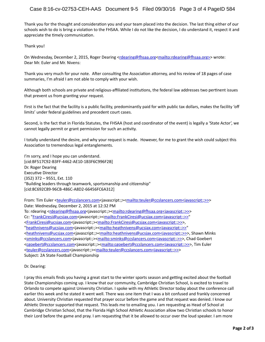Thank you for the thought and consideration you and your team placed into the decision. The last thing either of our schools wish to do is bring a violation to the FHSAA. While I do not like the decision, I do understand it, respect it and appreciate the timely communication.

Thank you!

On Wednesday, December 2, 2015, Roger Dearing <rdearing@fhsaa.org<mailto:rdearing@fhsaa.org>> wrote: Dear Mr. Euler and Mr. Nivens:

Thank you very much for your note. After consulting the Association attorney, and his review of 18 pages of case summaries, I'm afraid I am not able to comply with your wish.

Although both schools are private and religious-affiliated institutions, the federal law addresses two pertinent issues that prevent us from granting your request.

First is the fact that the facility is a public facility, predominantly paid for with public tax dollars, makes the facility 'off limits' under federal guidelines and precedent court cases.

Second, is the fact that in Florida Statutes, the FHSAA (host and coordinator of the event) is legally a 'State Actor', we cannot legally permit or grant permission for such an activity.

I totally understand the desire, and why your request is made. However, for me to grant the wish could subject this Association to tremendous legal entanglements.

I'm sorry, and I hope you can understand. [cid:BF517C92-B3FF-4462-AE10-1B3F6C996F2B] Dr. Roger Dearing Executive Director (352) 372 - 9551, Ext. 110 "Building leaders through teamwork, sportsmanship and citizenship" [cid:8C692C89-96CB-486C-A8D2-66456FC6A312]

From: Tim Euler [<teuler@ccslancers.com<](mailto:teuler@ccslancers.com)javascript:;>[<mailto:teuler@ccslancers.com<javascript:;>>>](mailto:teuler@ccslancers.com%3Cjavascript:;%3E%3E) Date: Wednesday, December 2, 2015 at 12:32 PM To: rdearing <rdearing@fhsaa.org<javascript:;><mailto:rdearing@fhsaa.org<javascript:;>>> Cc: ["FrankCiresi@ucsjax.com<](mailto:FrankCiresi@ucsjax.com)javascript:;>[<mailto:FrankCiresi@ucsjax.com<javascript:;>>"](mailto:FrankCiresi@ucsjax.com%3Cjavascript:;%3E%3E) [<FrankCiresi@ucsjax.com<](mailto:FrankCiresi@ucsjax.com)javascript:;>[<mailto:FrankCiresi@ucsjax.com<javascript:;>>>](mailto:FrankCiresi@ucsjax.com%3Cjavascript:;%3E%3E), ["heathnivens@ucsjax.com<](mailto:heathnivens@ucsjax.com)javascript:;>[<mailto:heathnivens@ucsjax.com<javascript:;>>"](mailto:heathnivens@ucsjax.com%3Cjavascript:;%3E%3E) [<heathnivens@ucsjax.com<](mailto:heathnivens@ucsjax.com)javascript:;><[mailto:heathnivens@ucsjax.com<javascript:;>>](mailto:heathnivens@ucsjax.com%3Cjavascript:;%3E%3E)>, Shawn Minks [<sminks@ccslancers.com<](mailto:sminks@ccslancers.com)javascript:;><[mailto:sminks@ccslancers.com<javascript:;>>](mailto:sminks@ccslancers.com%3Cjavascript:;%3E%3E)>, Chad Goebert [<cgoebert@ccslancers.com<](mailto:cgoebert@ccslancers.com)javascript:;>[<mailto:cgoebert@ccslancers.com<javascript:;>>](mailto:cgoebert@ccslancers.com%3Cjavascript:;%3E%3E)>, Tim Euler [<teuler@ccslancers.com](mailto:teuler@ccslancers.com)<javascript:;>[<mailto:teuler@ccslancers.com<javascript:;>>>](mailto:teuler@ccslancers.com%3Cjavascript:;%3E%3E) Subject: 2A State Football Championship

## Dr. Dearing:

I pray this emails finds you having a great start to the winter sports season and getting excited about the football State Championships coming up. I know that our community, Cambridge Christian School, is excited to travel to Orlando to compete against University Christian. I spoke with my Athletic Director today about the conference call earlier this week and he stated it went well. There was one item that I was a bit confused and frankly concerned about. University Christian requested that prayer occur before the game and that request was denied. I know our Athletic Director supported that request. This leads me to emailing you. I am requesting as Head of School at Cambridge Christian School, that the Florida High School Athletic Association allow two Christian schools to honor their Lord before the game and pray. I am requesting that it be allowed to occur over the loud speaker. I am more